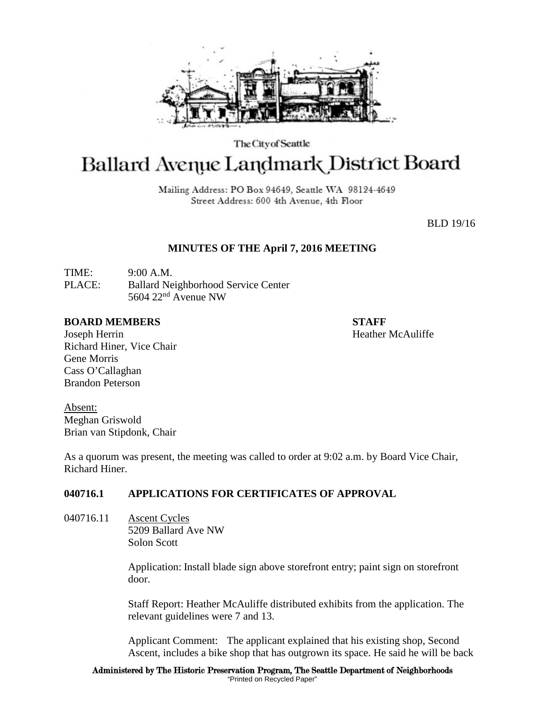

The City of Seattle

# Ballard Avenue Landmark District Board

Mailing Address: PO Box 94649, Seattle WA 98124-4649 Street Address: 600 4th Avenue, 4th Floor

BLD 19/16

## **MINUTES OF THE April 7, 2016 MEETING**

TIME: 9:00 A.M. PLACE: Ballard Neighborhood Service Center 5604  $22<sup>nd</sup>$  Avenue NW

#### **BOARD MEMBERS STAFF**

Joseph Herrin Heather McAuliffe Richard Hiner, Vice Chair Gene Morris Cass O'Callaghan Brandon Peterson

Absent: Meghan Griswold Brian van Stipdonk, Chair

As a quorum was present, the meeting was called to order at 9:02 a.m. by Board Vice Chair, Richard Hiner.

# **040716.1 APPLICATIONS FOR CERTIFICATES OF APPROVAL**

040716.11 Ascent Cycles 5209 Ballard Ave NW Solon Scott

> Application: Install blade sign above storefront entry; paint sign on storefront door.

Staff Report: Heather McAuliffe distributed exhibits from the application. The relevant guidelines were 7 and 13.

Applicant Comment: The applicant explained that his existing shop, Second Ascent, includes a bike shop that has outgrown its space. He said he will be back

Administered by The Historic Preservation Program, The Seattle Department of Neighborhoods "Printed on Recycled Paper"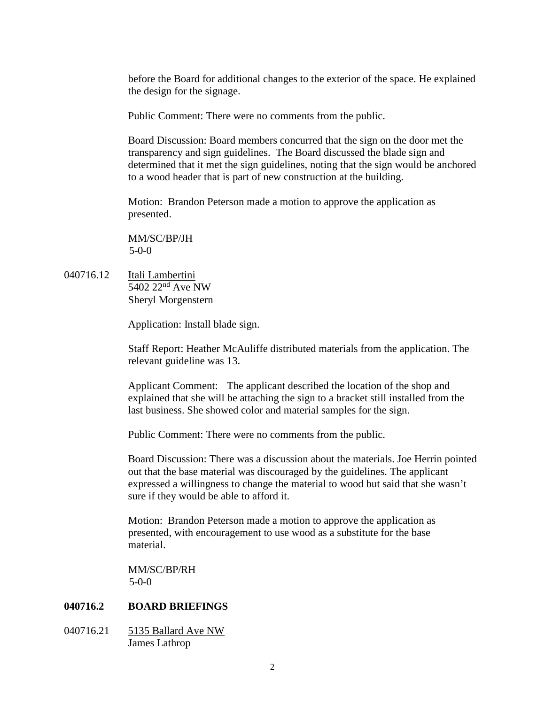before the Board for additional changes to the exterior of the space. He explained the design for the signage.

Public Comment: There were no comments from the public.

Board Discussion: Board members concurred that the sign on the door met the transparency and sign guidelines. The Board discussed the blade sign and determined that it met the sign guidelines, noting that the sign would be anchored to a wood header that is part of new construction at the building.

Motion: Brandon Peterson made a motion to approve the application as presented.

MM/SC/BP/JH 5-0-0

040716.12 Itali Lambertini  $\overline{5402\ 22^{nd}$  Ave NW Sheryl Morgenstern

Application: Install blade sign.

Staff Report: Heather McAuliffe distributed materials from the application. The relevant guideline was 13.

Applicant Comment: The applicant described the location of the shop and explained that she will be attaching the sign to a bracket still installed from the last business. She showed color and material samples for the sign.

Public Comment: There were no comments from the public.

Board Discussion: There was a discussion about the materials. Joe Herrin pointed out that the base material was discouraged by the guidelines. The applicant expressed a willingness to change the material to wood but said that she wasn't sure if they would be able to afford it.

Motion: Brandon Peterson made a motion to approve the application as presented, with encouragement to use wood as a substitute for the base material.

MM/SC/BP/RH 5-0-0

# **040716.2 BOARD BRIEFINGS**

040716.21 5135 Ballard Ave NW James Lathrop